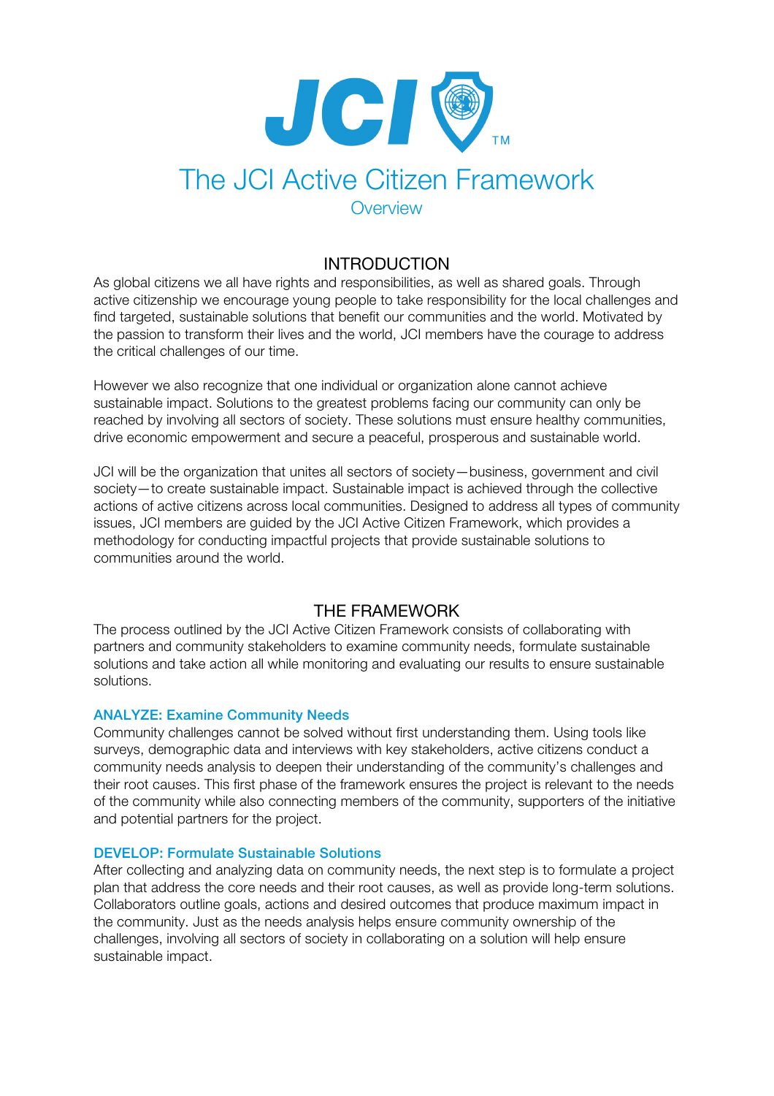

# The JCI Active Citizen Framework **Overview**

## INTRODUCTION

As global citizens we all have rights and responsibilities, as well as shared goals. Through active citizenship we encourage young people to take responsibility for the local challenges and find targeted, sustainable solutions that benefit our communities and the world. Motivated by the passion to transform their lives and the world, JCI members have the courage to address the critical challenges of our time.

However we also recognize that one individual or organization alone cannot achieve sustainable impact. Solutions to the greatest problems facing our community can only be reached by involving all sectors of society. These solutions must ensure healthy communities, drive economic empowerment and secure a peaceful, prosperous and sustainable world.

JCI will be the organization that unites all sectors of society—business, government and civil society—to create sustainable impact. Sustainable impact is achieved through the collective actions of active citizens across local communities. Designed to address all types of community issues, JCI members are guided by the JCI Active Citizen Framework, which provides a methodology for conducting impactful projects that provide sustainable solutions to communities around the world.

## THE FRAMEWORK

The process outlined by the JCI Active Citizen Framework consists of collaborating with partners and community stakeholders to examine community needs, formulate sustainable solutions and take action all while monitoring and evaluating our results to ensure sustainable solutions.

### ANALYZE: Examine Community Needs

Community challenges cannot be solved without first understanding them. Using tools like surveys, demographic data and interviews with key stakeholders, active citizens conduct a community needs analysis to deepen their understanding of the community's challenges and their root causes. This first phase of the framework ensures the project is relevant to the needs of the community while also connecting members of the community, supporters of the initiative and potential partners for the project.

#### DEVELOP: Formulate Sustainable Solutions

After collecting and analyzing data on community needs, the next step is to formulate a project plan that address the core needs and their root causes, as well as provide long-term solutions. Collaborators outline goals, actions and desired outcomes that produce maximum impact in the community. Just as the needs analysis helps ensure community ownership of the challenges, involving all sectors of society in collaborating on a solution will help ensure sustainable impact.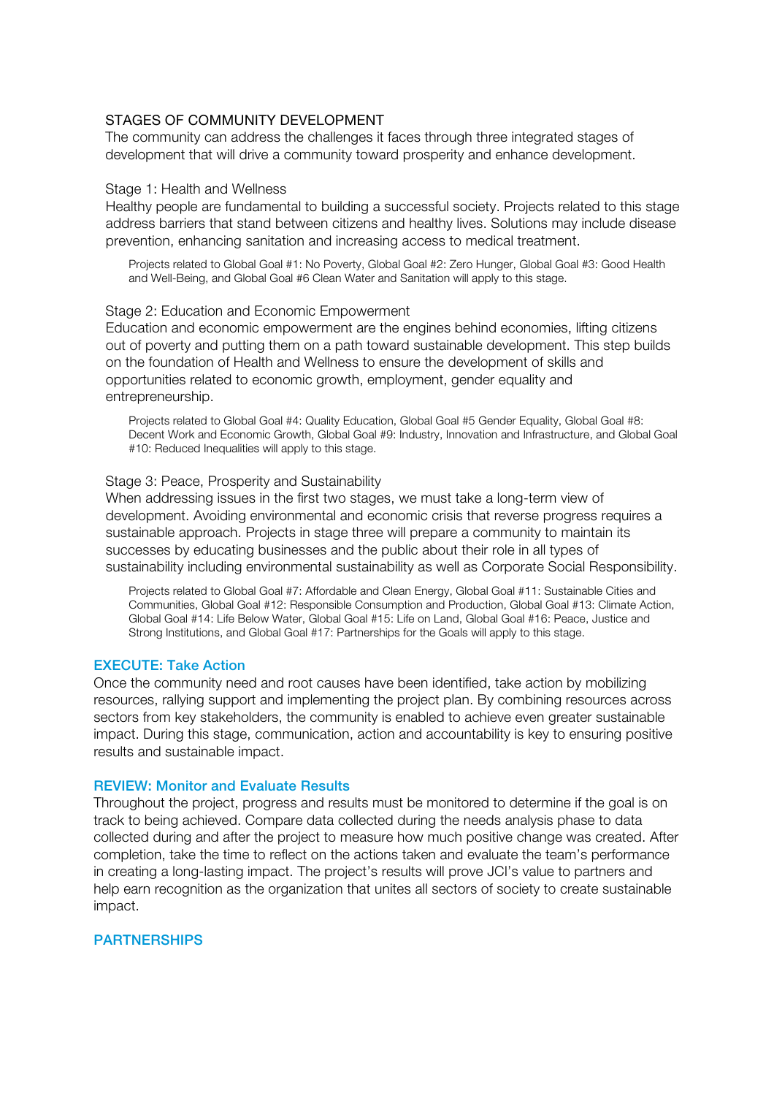#### STAGES OF COMMUNITY DEVELOPMENT

The community can address the challenges it faces through three integrated stages of development that will drive a community toward prosperity and enhance development.

#### Stage 1: Health and Wellness

Healthy people are fundamental to building a successful society. Projects related to this stage address barriers that stand between citizens and healthy lives. Solutions may include disease prevention, enhancing sanitation and increasing access to medical treatment.

Projects related to Global Goal #1: No Poverty, Global Goal #2: Zero Hunger, Global Goal #3: Good Health and Well-Being, and Global Goal #6 Clean Water and Sanitation will apply to this stage.

#### Stage 2: Education and Economic Empowerment

Education and economic empowerment are the engines behind economies, lifting citizens out of poverty and putting them on a path toward sustainable development. This step builds on the foundation of Health and Wellness to ensure the development of skills and opportunities related to economic growth, employment, gender equality and entrepreneurship.

Projects related to Global Goal #4: Quality Education, Global Goal #5 Gender Equality, Global Goal #8: Decent Work and Economic Growth, Global Goal #9: Industry, Innovation and Infrastructure, and Global Goal #10: Reduced Inequalities will apply to this stage.

#### Stage 3: Peace, Prosperity and Sustainability

When addressing issues in the first two stages, we must take a long-term view of development. Avoiding environmental and economic crisis that reverse progress requires a sustainable approach. Projects in stage three will prepare a community to maintain its successes by educating businesses and the public about their role in all types of sustainability including environmental sustainability as well as Corporate Social Responsibility.

Projects related to Global Goal #7: Affordable and Clean Energy, Global Goal #11: Sustainable Cities and Communities, Global Goal #12: Responsible Consumption and Production, Global Goal #13: Climate Action, Global Goal #14: Life Below Water, Global Goal #15: Life on Land, Global Goal #16: Peace, Justice and Strong Institutions, and Global Goal #17: Partnerships for the Goals will apply to this stage.

#### EXECUTE: Take Action

Once the community need and root causes have been identified, take action by mobilizing resources, rallying support and implementing the project plan. By combining resources across sectors from key stakeholders, the community is enabled to achieve even greater sustainable impact. During this stage, communication, action and accountability is key to ensuring positive results and sustainable impact.

#### REVIEW: Monitor and Evaluate Results

Throughout the project, progress and results must be monitored to determine if the goal is on track to being achieved. Compare data collected during the needs analysis phase to data collected during and after the project to measure how much positive change was created. After completion, take the time to reflect on the actions taken and evaluate the team's performance in creating a long-lasting impact. The project's results will prove JCI's value to partners and help earn recognition as the organization that unites all sectors of society to create sustainable impact.

#### **PARTNERSHIPS**